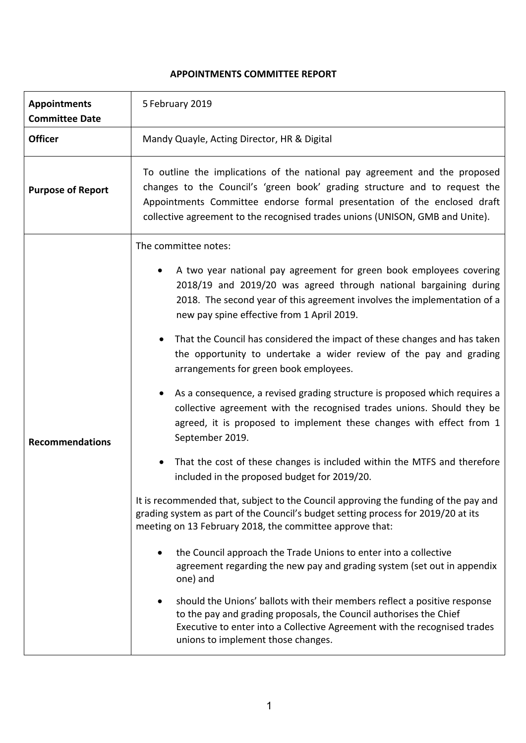# **APPOINTMENTS COMMITTEE REPORT**

| <b>Appointments</b><br><b>Committee Date</b> | 5 February 2019                                                                                                                                                                                                                                                                                                       |
|----------------------------------------------|-----------------------------------------------------------------------------------------------------------------------------------------------------------------------------------------------------------------------------------------------------------------------------------------------------------------------|
| <b>Officer</b>                               | Mandy Quayle, Acting Director, HR & Digital                                                                                                                                                                                                                                                                           |
| <b>Purpose of Report</b>                     | To outline the implications of the national pay agreement and the proposed<br>changes to the Council's 'green book' grading structure and to request the<br>Appointments Committee endorse formal presentation of the enclosed draft<br>collective agreement to the recognised trades unions (UNISON, GMB and Unite). |
|                                              | The committee notes:                                                                                                                                                                                                                                                                                                  |
| <b>Recommendations</b>                       | A two year national pay agreement for green book employees covering<br>2018/19 and 2019/20 was agreed through national bargaining during<br>2018. The second year of this agreement involves the implementation of a<br>new pay spine effective from 1 April 2019.                                                    |
|                                              | That the Council has considered the impact of these changes and has taken<br>$\bullet$<br>the opportunity to undertake a wider review of the pay and grading<br>arrangements for green book employees.                                                                                                                |
|                                              | As a consequence, a revised grading structure is proposed which requires a<br>$\bullet$<br>collective agreement with the recognised trades unions. Should they be<br>agreed, it is proposed to implement these changes with effect from 1<br>September 2019.                                                          |
|                                              | That the cost of these changes is included within the MTFS and therefore<br>$\bullet$<br>included in the proposed budget for 2019/20.                                                                                                                                                                                 |
|                                              | It is recommended that, subject to the Council approving the funding of the pay and<br>grading system as part of the Council's budget setting process for 2019/20 at its<br>meeting on 13 February 2018, the committee approve that:                                                                                  |
|                                              | the Council approach the Trade Unions to enter into a collective<br>agreement regarding the new pay and grading system (set out in appendix<br>one) and                                                                                                                                                               |
|                                              | should the Unions' ballots with their members reflect a positive response<br>to the pay and grading proposals, the Council authorises the Chief<br>Executive to enter into a Collective Agreement with the recognised trades<br>unions to implement those changes.                                                    |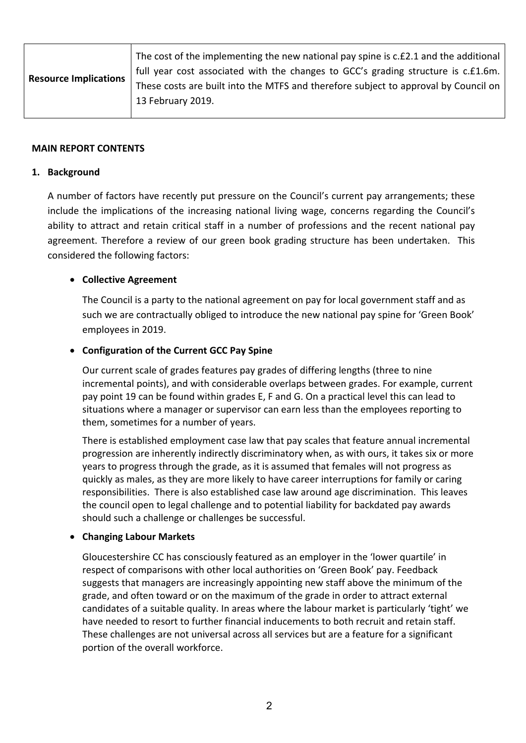| <b>Resource Implications</b> | The cost of the implementing the new national pay spine is c.£2.1 and the additional<br>full year cost associated with the changes to GCC's grading structure is c.£1.6m. |
|------------------------------|---------------------------------------------------------------------------------------------------------------------------------------------------------------------------|
|                              | These costs are built into the MTFS and therefore subject to approval by Council on                                                                                       |
|                              | 13 February 2019.                                                                                                                                                         |
|                              |                                                                                                                                                                           |

#### **MAIN REPORT CONTENTS**

### **1. Background**

A number of factors have recently put pressure on the Council's current pay arrangements; these include the implications of the increasing national living wage, concerns regarding the Council's ability to attract and retain critical staff in a number of professions and the recent national pay agreement. Therefore a review of our green book grading structure has been undertaken. This considered the following factors:

## **Collective Agreement**

The Council is a party to the national agreement on pay for local government staff and as such we are contractually obliged to introduce the new national pay spine for 'Green Book' employees in 2019.

## **Configuration of the Current GCC Pay Spine**

Our current scale of grades features pay grades of differing lengths (three to nine incremental points), and with considerable overlaps between grades. For example, current pay point 19 can be found within grades E, F and G. On a practical level this can lead to situations where a manager or supervisor can earn less than the employees reporting to them, sometimes for a number of years.

There is established employment case law that pay scales that feature annual incremental progression are inherently indirectly discriminatory when, as with ours, it takes six or more years to progress through the grade, as it is assumed that females will not progress as quickly as males, as they are more likely to have career interruptions for family or caring responsibilities. There is also established case law around age discrimination. This leaves the council open to legal challenge and to potential liability for backdated pay awards should such a challenge or challenges be successful.

## **Changing Labour Markets**

Gloucestershire CC has consciously featured as an employer in the 'lower quartile' in respect of comparisons with other local authorities on 'Green Book' pay. Feedback suggests that managers are increasingly appointing new staff above the minimum of the grade, and often toward or on the maximum of the grade in order to attract external candidates of a suitable quality. In areas where the labour market is particularly 'tight' we have needed to resort to further financial inducements to both recruit and retain staff. These challenges are not universal across all services but are a feature for a significant portion of the overall workforce.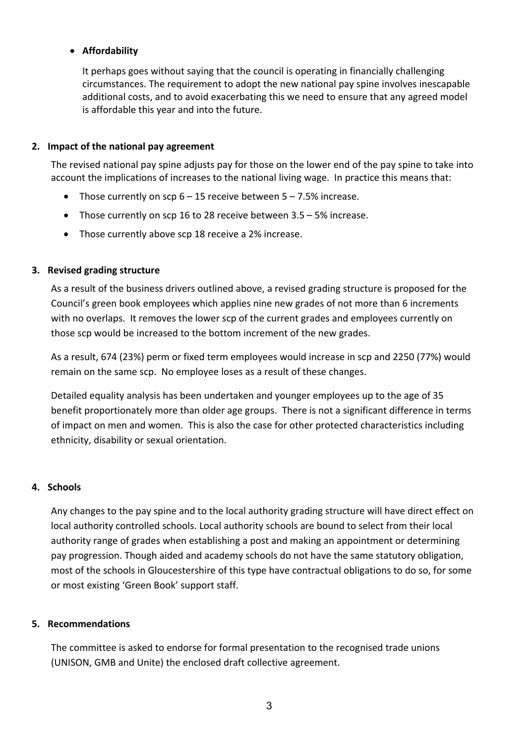## **Affordability**

It perhaps goes without saying that the council is operating in financially challenging circumstances. The requirement to adopt the new national pay spine involves inescapable additional costs, and to avoid exacerbating this we need to ensure that any agreed model is affordable this year and into the future.

### **2. Impact of the national pay agreement**

The revised national pay spine adjusts pay for those on the lower end of the pay spine to take into account the implications of increases to the national living wage. In practice this means that:

- Those currently on scp  $6 15$  receive between  $5 7.5%$  increase.
- Those currently on scp 16 to 28 receive between 3.5 5% increase.
- Those currently above scp 18 receive a 2% increase.

## **3. Revised grading structure**

As a result of the business drivers outlined above, a revised grading structure is proposed for the Council's green book employees which applies nine new grades of not more than 6 increments with no overlaps. It removes the lower scp of the current grades and employees currently on those scp would be increased to the bottom increment of the new grades.

As a result, 674 (23%) perm or fixed term employees would increase in scp and 2250 (77%) would remain on the same scp. No employee loses as a result of these changes.

Detailed equality analysis has been undertaken and younger employees up to the age of 35 benefit proportionately more than older age groups. There is not a significant difference in terms of impact on men and women. This is also the case for other protected characteristics including ethnicity, disability or sexual orientation.

## **4. Schools**

Any changes to the pay spine and to the local authority grading structure will have direct effect on local authority controlled schools. Local authority schools are bound to select from their local authority range of grades when establishing a post and making an appointment or determining pay progression. Though aided and academy schools do not have the same statutory obligation, most of the schools in Gloucestershire of this type have contractual obligations to do so, for some or most existing 'Green Book' support staff.

## **5. Recommendations**

The committee is asked to endorse for formal presentation to the recognised trade unions (UNISON, GMB and Unite) the enclosed draft collective agreement.